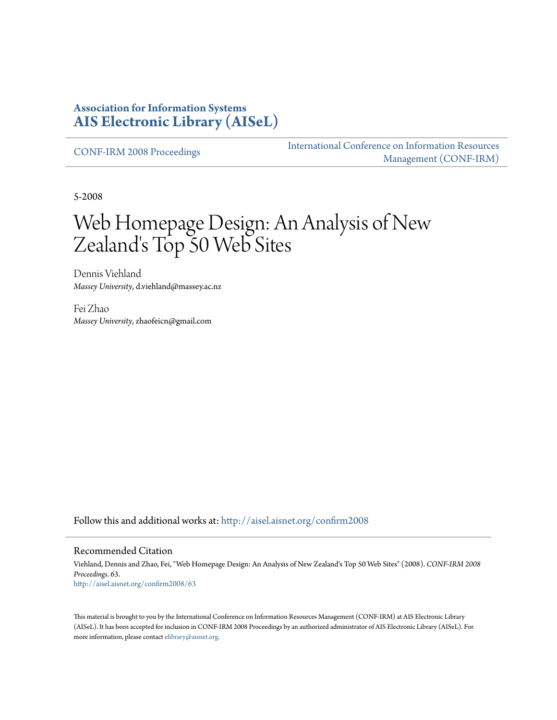## **Association for Information Systems [AIS Electronic Library \(AISeL\)](http://aisel.aisnet.org?utm_source=aisel.aisnet.org%2Fconfirm2008%2F63&utm_medium=PDF&utm_campaign=PDFCoverPages)**

[CONF-IRM 2008 Proceedings](http://aisel.aisnet.org/confirm2008?utm_source=aisel.aisnet.org%2Fconfirm2008%2F63&utm_medium=PDF&utm_campaign=PDFCoverPages)

[International Conference on Information Resources](http://aisel.aisnet.org/conf-irm?utm_source=aisel.aisnet.org%2Fconfirm2008%2F63&utm_medium=PDF&utm_campaign=PDFCoverPages) [Management \(CONF-IRM\)](http://aisel.aisnet.org/conf-irm?utm_source=aisel.aisnet.org%2Fconfirm2008%2F63&utm_medium=PDF&utm_campaign=PDFCoverPages)

5-2008

# Web Homepage Design: An Analysis of New Zealand's Top 50 Web Sites

Dennis Viehland *Massey University*, d.viehland@massey.ac.nz

Fei Zhao *Massey University*, zhaofeicn@gmail.com

Follow this and additional works at: [http://aisel.aisnet.org/confirm2008](http://aisel.aisnet.org/confirm2008?utm_source=aisel.aisnet.org%2Fconfirm2008%2F63&utm_medium=PDF&utm_campaign=PDFCoverPages)

#### Recommended Citation

Viehland, Dennis and Zhao, Fei, "Web Homepage Design: An Analysis of New Zealand's Top 50 Web Sites" (2008). *CONF-IRM 2008 Proceedings*. 63. [http://aisel.aisnet.org/confirm2008/63](http://aisel.aisnet.org/confirm2008/63?utm_source=aisel.aisnet.org%2Fconfirm2008%2F63&utm_medium=PDF&utm_campaign=PDFCoverPages)

This material is brought to you by the International Conference on Information Resources Management (CONF-IRM) at AIS Electronic Library (AISeL). It has been accepted for inclusion in CONF-IRM 2008 Proceedings by an authorized administrator of AIS Electronic Library (AISeL). For more information, please contact [elibrary@aisnet.org.](mailto:elibrary@aisnet.org%3E)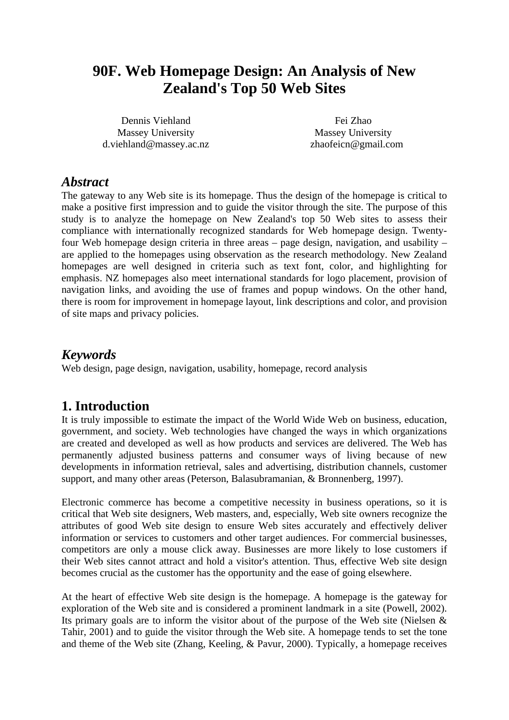## **90F. Web Homepage Design: An Analysis of New Zealand's Top 50 Web Sites**

Dennis Viehland Massey University d.viehland@massey.ac.nz

Fei Zhao Massey University zhaofeicn@gmail.com

## *Abstract*

The gateway to any Web site is its homepage. Thus the design of the homepage is critical to make a positive first impression and to guide the visitor through the site. The purpose of this study is to analyze the homepage on New Zealand's top 50 Web sites to assess their compliance with internationally recognized standards for Web homepage design. Twentyfour Web homepage design criteria in three areas – page design, navigation, and usability – are applied to the homepages using observation as the research methodology. New Zealand homepages are well designed in criteria such as text font, color, and highlighting for emphasis. NZ homepages also meet international standards for logo placement, provision of navigation links, and avoiding the use of frames and popup windows. On the other hand, there is room for improvement in homepage layout, link descriptions and color, and provision of site maps and privacy policies.

## *Keywords*

Web design, page design, navigation, usability, homepage, record analysis

## **1. Introduction**

It is truly impossible to estimate the impact of the World Wide Web on business, education, government, and society. Web technologies have changed the ways in which organizations are created and developed as well as how products and services are delivered. The Web has permanently adjusted business patterns and consumer ways of living because of new developments in information retrieval, sales and advertising, distribution channels, customer support, and many other areas (Peterson, Balasubramanian, & Bronnenberg, 1997).

Electronic commerce has become a competitive necessity in business operations, so it is critical that Web site designers, Web masters, and, especially, Web site owners recognize the attributes of good Web site design to ensure Web sites accurately and effectively deliver information or services to customers and other target audiences. For commercial businesses, competitors are only a mouse click away. Businesses are more likely to lose customers if their Web sites cannot attract and hold a visitor's attention. Thus, effective Web site design becomes crucial as the customer has the opportunity and the ease of going elsewhere.

At the heart of effective Web site design is the homepage. A homepage is the gateway for exploration of the Web site and is considered a prominent landmark in a site (Powell, 2002). Its primary goals are to inform the visitor about of the purpose of the Web site (Nielsen  $\&$ Tahir, 2001) and to guide the visitor through the Web site. A homepage tends to set the tone and theme of the Web site (Zhang, Keeling, & Pavur, 2000). Typically, a homepage receives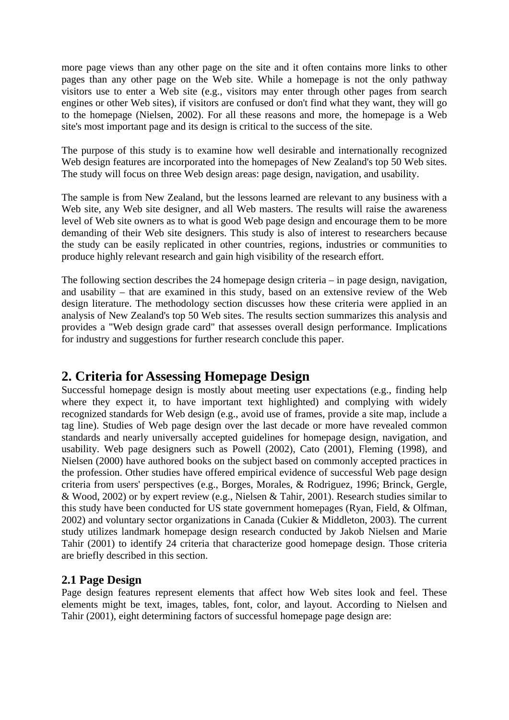more page views than any other page on the site and it often contains more links to other pages than any other page on the Web site. While a homepage is not the only pathway visitors use to enter a Web site (e.g., visitors may enter through other pages from search engines or other Web sites), if visitors are confused or don't find what they want, they will go to the homepage (Nielsen, 2002). For all these reasons and more, the homepage is a Web site's most important page and its design is critical to the success of the site.

The purpose of this study is to examine how well desirable and internationally recognized Web design features are incorporated into the homepages of New Zealand's top 50 Web sites. The study will focus on three Web design areas: page design, navigation, and usability.

The sample is from New Zealand, but the lessons learned are relevant to any business with a Web site, any Web site designer, and all Web masters. The results will raise the awareness level of Web site owners as to what is good Web page design and encourage them to be more demanding of their Web site designers. This study is also of interest to researchers because the study can be easily replicated in other countries, regions, industries or communities to produce highly relevant research and gain high visibility of the research effort.

The following section describes the 24 homepage design criteria – in page design, navigation, and usability – that are examined in this study, based on an extensive review of the Web design literature. The methodology section discusses how these criteria were applied in an analysis of New Zealand's top 50 Web sites. The results section summarizes this analysis and provides a "Web design grade card" that assesses overall design performance. Implications for industry and suggestions for further research conclude this paper.

## **2. Criteria for Assessing Homepage Design**

Successful homepage design is mostly about meeting user expectations (e.g., finding help where they expect it, to have important text highlighted) and complying with widely recognized standards for Web design (e.g., avoid use of frames, provide a site map, include a tag line). Studies of Web page design over the last decade or more have revealed common standards and nearly universally accepted guidelines for homepage design, navigation, and usability. Web page designers such as Powell (2002), Cato (2001), Fleming (1998), and Nielsen (2000) have authored books on the subject based on commonly accepted practices in the profession. Other studies have offered empirical evidence of successful Web page design criteria from users' perspectives (e.g., Borges, Morales, & Rodriguez, 1996; Brinck, Gergle, & Wood, 2002) or by expert review (e.g., Nielsen & Tahir, 2001). Research studies similar to this study have been conducted for US state government homepages (Ryan, Field, & Olfman, 2002) and voluntary sector organizations in Canada (Cukier & Middleton, 2003). The current study utilizes landmark homepage design research conducted by Jakob Nielsen and Marie Tahir (2001) to identify 24 criteria that characterize good homepage design. Those criteria are briefly described in this section.

## **2.1 Page Design**

Page design features represent elements that affect how Web sites look and feel. These elements might be text, images, tables, font, color, and layout. According to Nielsen and Tahir (2001), eight determining factors of successful homepage page design are: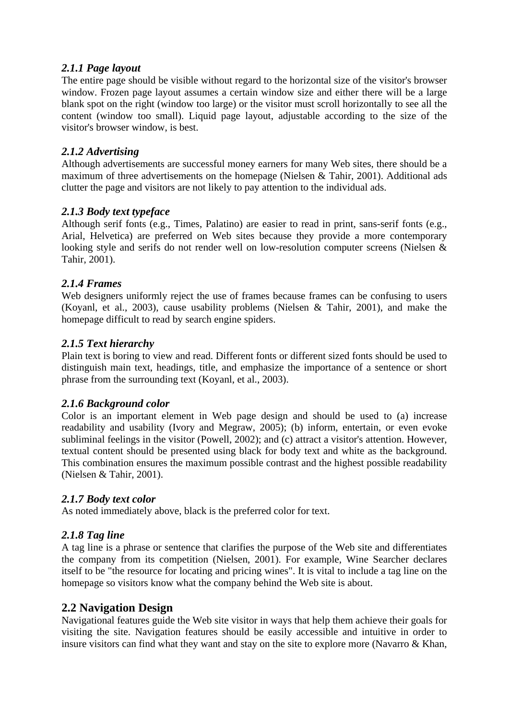#### *2.1.1 Page layout*

The entire page should be visible without regard to the horizontal size of the visitor's browser window. Frozen page layout assumes a certain window size and either there will be a large blank spot on the right (window too large) or the visitor must scroll horizontally to see all the content (window too small). Liquid page layout, adjustable according to the size of the visitor's browser window, is best.

#### *2.1.2 Advertising*

Although advertisements are successful money earners for many Web sites, there should be a maximum of three advertisements on the homepage (Nielsen & Tahir, 2001). Additional ads clutter the page and visitors are not likely to pay attention to the individual ads.

#### *2.1.3 Body text typeface*

Although serif fonts (e.g., Times, Palatino) are easier to read in print, sans-serif fonts (e.g., Arial, Helvetica) are preferred on Web sites because they provide a more contemporary looking style and serifs do not render well on low-resolution computer screens (Nielsen & Tahir, 2001).

#### *2.1.4 Frames*

Web designers uniformly reject the use of frames because frames can be confusing to users (Koyanl, et al., 2003), cause usability problems (Nielsen & Tahir, 2001), and make the homepage difficult to read by search engine spiders.

#### *2.1.5 Text hierarchy*

Plain text is boring to view and read. Different fonts or different sized fonts should be used to distinguish main text, headings, title, and emphasize the importance of a sentence or short phrase from the surrounding text (Koyanl, et al., 2003).

#### *2.1.6 Background color*

Color is an important element in Web page design and should be used to (a) increase readability and usability (Ivory and Megraw, 2005); (b) inform, entertain, or even evoke subliminal feelings in the visitor (Powell, 2002); and (c) attract a visitor's attention. However, textual content should be presented using black for body text and white as the background. This combination ensures the maximum possible contrast and the highest possible readability (Nielsen & Tahir, 2001).

#### *2.1.7 Body text color*

As noted immediately above, black is the preferred color for text.

#### *2.1.8 Tag line*

A tag line is a phrase or sentence that clarifies the purpose of the Web site and differentiates the company from its competition (Nielsen, 2001). For example, Wine Searcher declares itself to be "the resource for locating and pricing wines". It is vital to include a tag line on the homepage so visitors know what the company behind the Web site is about.

#### **2.2 Navigation Design**

Navigational features guide the Web site visitor in ways that help them achieve their goals for visiting the site. Navigation features should be easily accessible and intuitive in order to insure visitors can find what they want and stay on the site to explore more (Navarro & Khan,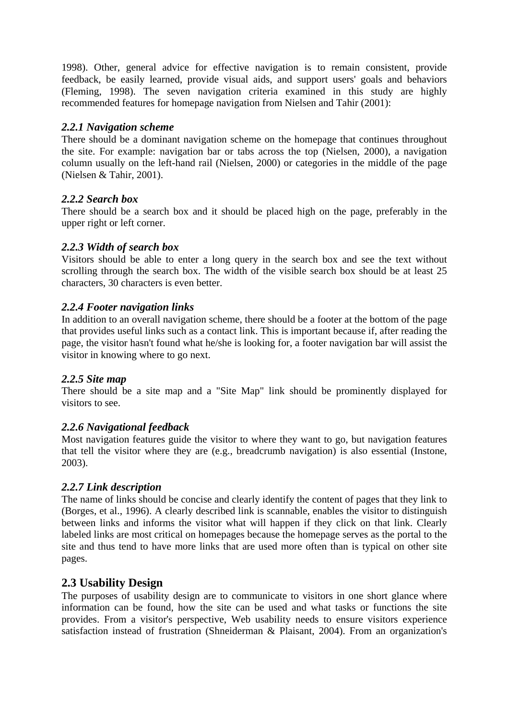1998). Other, general advice for effective navigation is to remain consistent, provide feedback, be easily learned, provide visual aids, and support users' goals and behaviors (Fleming, 1998). The seven navigation criteria examined in this study are highly recommended features for homepage navigation from Nielsen and Tahir (2001):

#### *2.2.1 Navigation scheme*

There should be a dominant navigation scheme on the homepage that continues throughout the site. For example: navigation bar or tabs across the top (Nielsen, 2000), a navigation column usually on the left-hand rail (Nielsen, 2000) or categories in the middle of the page (Nielsen & Tahir, 2001).

#### *2.2.2 Search box*

There should be a search box and it should be placed high on the page, preferably in the upper right or left corner.

#### *2.2.3 Width of search box*

Visitors should be able to enter a long query in the search box and see the text without scrolling through the search box. The width of the visible search box should be at least 25 characters, 30 characters is even better.

#### *2.2.4 Footer navigation links*

In addition to an overall navigation scheme, there should be a footer at the bottom of the page that provides useful links such as a contact link. This is important because if, after reading the page, the visitor hasn't found what he/she is looking for, a footer navigation bar will assist the visitor in knowing where to go next.

#### *2.2.5 Site map*

There should be a site map and a "Site Map" link should be prominently displayed for visitors to see.

#### *2.2.6 Navigational feedback*

Most navigation features guide the visitor to where they want to go, but navigation features that tell the visitor where they are (e.g., breadcrumb navigation) is also essential (Instone, 2003).

#### *2.2.7 Link description*

The name of links should be concise and clearly identify the content of pages that they link to (Borges, et al., 1996). A clearly described link is scannable, enables the visitor to distinguish between links and informs the visitor what will happen if they click on that link. Clearly labeled links are most critical on homepages because the homepage serves as the portal to the site and thus tend to have more links that are used more often than is typical on other site pages.

#### **2.3 Usability Design**

The purposes of usability design are to communicate to visitors in one short glance where information can be found, how the site can be used and what tasks or functions the site provides. From a visitor's perspective, Web usability needs to ensure visitors experience satisfaction instead of frustration (Shneiderman & Plaisant, 2004). From an organization's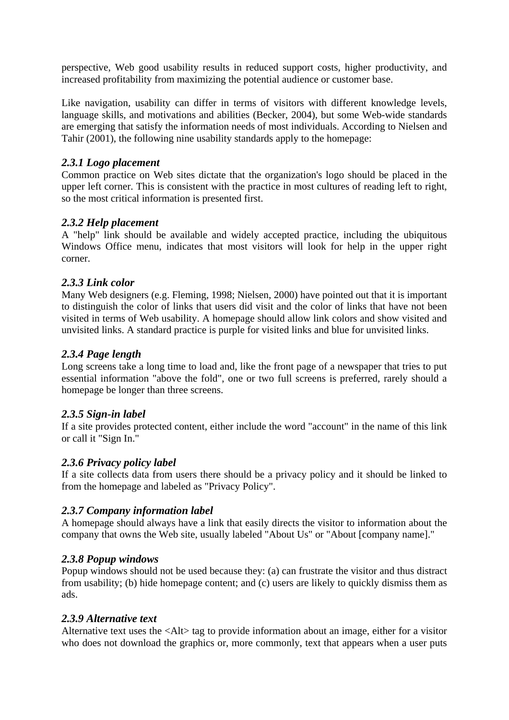perspective, Web good usability results in reduced support costs, higher productivity, and increased profitability from maximizing the potential audience or customer base.

Like navigation, usability can differ in terms of visitors with different knowledge levels, language skills, and motivations and abilities (Becker, 2004), but some Web-wide standards are emerging that satisfy the information needs of most individuals. According to Nielsen and Tahir (2001), the following nine usability standards apply to the homepage:

#### *2.3.1 Logo placement*

Common practice on Web sites dictate that the organization's logo should be placed in the upper left corner. This is consistent with the practice in most cultures of reading left to right, so the most critical information is presented first.

#### *2.3.2 Help placement*

A "help" link should be available and widely accepted practice, including the ubiquitous Windows Office menu, indicates that most visitors will look for help in the upper right corner.

#### *2.3.3 Link color*

Many Web designers (e.g. Fleming, 1998; Nielsen, 2000) have pointed out that it is important to distinguish the color of links that users did visit and the color of links that have not been visited in terms of Web usability. A homepage should allow link colors and show visited and unvisited links. A standard practice is purple for visited links and blue for unvisited links.

#### *2.3.4 Page length*

Long screens take a long time to load and, like the front page of a newspaper that tries to put essential information "above the fold", one or two full screens is preferred, rarely should a homepage be longer than three screens.

#### *2.3.5 Sign-in label*

If a site provides protected content, either include the word "account" in the name of this link or call it "Sign In."

#### *2.3.6 Privacy policy label*

If a site collects data from users there should be a privacy policy and it should be linked to from the homepage and labeled as "Privacy Policy".

#### *2.3.7 Company information label*

A homepage should always have a link that easily directs the visitor to information about the company that owns the Web site, usually labeled "About Us" or "About [company name]."

#### *2.3.8 Popup windows*

Popup windows should not be used because they: (a) can frustrate the visitor and thus distract from usability; (b) hide homepage content; and (c) users are likely to quickly dismiss them as ads.

#### *2.3.9 Alternative text*

Alternative text uses the <Alt> tag to provide information about an image, either for a visitor who does not download the graphics or, more commonly, text that appears when a user puts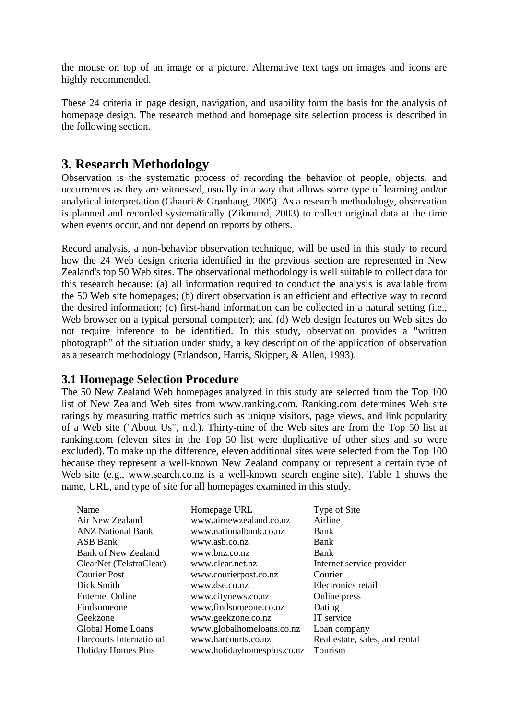the mouse on top of an image or a picture. Alternative text tags on images and icons are highly recommended.

These 24 criteria in page design, navigation, and usability form the basis for the analysis of homepage design. The research method and homepage site selection process is described in the following section.

## **3. Research Methodology**

Observation is the systematic process of recording the behavior of people, objects, and occurrences as they are witnessed, usually in a way that allows some type of learning and/or analytical interpretation (Ghauri & Grønhaug, 2005). As a research methodology, observation is planned and recorded systematically (Zikmund, 2003) to collect original data at the time when events occur, and not depend on reports by others.

Record analysis, a non-behavior observation technique, will be used in this study to record how the 24 Web design criteria identified in the previous section are represented in New Zealand's top 50 Web sites. The observational methodology is well suitable to collect data for this research because: (a) all information required to conduct the analysis is available from the 50 Web site homepages; (b) direct observation is an efficient and effective way to record the desired information; (c) first-hand information can be collected in a natural setting (i.e., Web browser on a typical personal computer); and (d) Web design features on Web sites do not require inference to be identified. In this study, observation provides a "written photograph" of the situation under study, a key description of the application of observation as a research methodology (Erlandson, Harris, Skipper, & Allen, 1993).

#### **3.1 Homepage Selection Procedure**

The 50 New Zealand Web homepages analyzed in this study are selected from the Top 100 list of New Zealand Web sites from www.ranking.com. Ranking.com determines Web site ratings by measuring traffic metrics such as unique visitors, page views, and link popularity of a Web site ("About Us", n.d.). Thirty-nine of the Web sites are from the Top 50 list at ranking.com (eleven sites in the Top 50 list were duplicative of other sites and so were excluded). To make up the difference, eleven additional sites were selected from the Top 100 because they represent a well-known New Zealand company or represent a certain type of Web site (e.g., www.search.co.nz is a well-known search engine site). Table 1 shows the name, URL, and type of site for all homepages examined in this study.

| Homepage URL               | <b>Type of Site</b>            |
|----------------------------|--------------------------------|
| www.airnewzealand.co.nz    | Airline                        |
| www.nationalbank.co.nz     | Bank                           |
| www.asb.co.nz              | Bank                           |
| www.bnz.co.nz              | Bank                           |
| www.clear.net.nz           | Internet service provider      |
| www.courierpost.co.nz      | Courier                        |
| www.dse.co.nz              | Electronics retail             |
| www.citynews.co.nz         | Online press                   |
| www.findsomeone.co.nz      | Dating                         |
| www.geekzone.co.nz         | IT service                     |
| www.globalhomeloans.co.nz  | Loan company                   |
| www.harcourts.co.nz        | Real estate, sales, and rental |
| www.holidayhomesplus.co.nz | Tourism                        |
|                            |                                |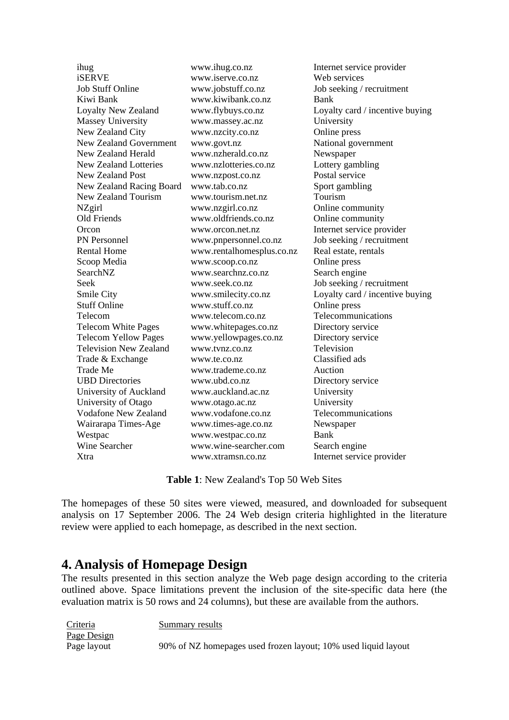ihug www.ihug.co.nz Internet service provider iSERVE www.iserve.co.nz Web services Job Stuff Online www.jobstuff.co.nz Job seeking / recruitment Kiwi Bank www.kiwibank.co.nz Bank Loyalty New Zealand www.flybuys.co.nz Loyalty card / incentive buying Massey University www.massey.ac.nz University New Zealand City www.nzcity.co.nz Online press New Zealand Government www.govt.nz National government New Zealand Herald www.nzherald.co.nz Newspaper New Zealand Lotteries www.nzlotteries.co.nz Lottery gambling New Zealand Post www.nzpost.co.nz Postal service New Zealand Racing Board www.tab.co.nz Sport gambling New Zealand Tourism www.tourism.net.nz Tourism NZgirl www.nzgirl.co.nz Online community Old Friends www.oldfriends.co.nz Online community Orcon www.orcon.net.nz Internet service provider PN Personnel www.pnpersonnel.co.nz Job seeking / recruitment Rental Home www.rentalhomesplus.co.nz Real estate, rentals Scoop Media www.scoop.co.nz Online press SearchNZ www.searchnz.co.nz Search engine Seek www.seek.co.nz Job seeking / recruitment Smile City www.smilecity.co.nz Loyalty card / incentive buying Stuff Online www.stuff.co.nz Online press Telecom www.telecom.co.nz Telecommunications Telecom White Pages www.whitepages.co.nz Directory service Telecom Yellow Pages www.yellowpages.co.nz Directory service Television New Zealand www.tvnz.co.nz Television Trade & Exchange www.te.co.nz Classified ads Trade Me www.trademe.co.nz Auction UBD Directories www.ubd.co.nz Directory service University of Auckland www.auckland.ac.nz University University of Otago www.otago.ac.nz University Vodafone New Zealand www.vodafone.co.nz Telecommunications Wairarapa Times-Age www.times-age.co.nz Newspaper Westpac www.westpac.co.nz Bank<br>Wine Searcher www.wine-searcher.com Searc www.wine-searcher.com Search engine Xtra www.xtramsn.co.nz Internet service provider

**Table 1**: New Zealand's Top 50 Web Sites

The homepages of these 50 sites were viewed, measured, and downloaded for subsequent analysis on 17 September 2006. The 24 Web design criteria highlighted in the literature review were applied to each homepage, as described in the next section.

## **4. Analysis of Homepage Design**

The results presented in this section analyze the Web page design according to the criteria outlined above. Space limitations prevent the inclusion of the site-specific data here (the evaluation matrix is 50 rows and 24 columns), but these are available from the authors.

| Criteria    | Summary results                                                |
|-------------|----------------------------------------------------------------|
| Page Design |                                                                |
| Page layout | 90% of NZ homepages used frozen layout; 10% used liquid layout |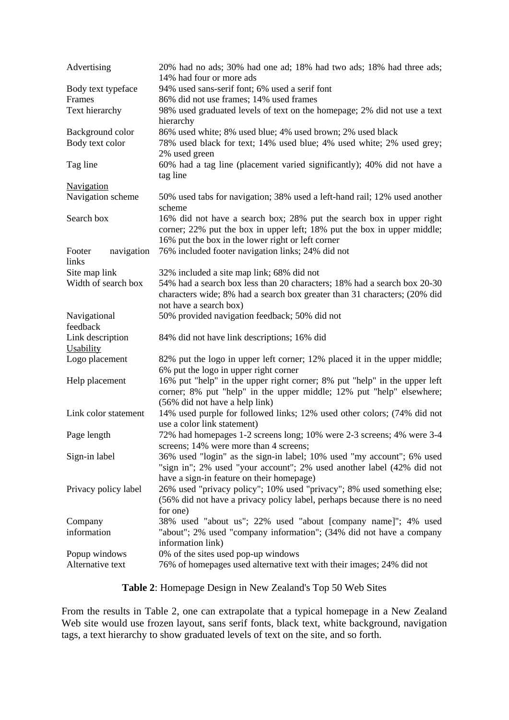| Advertising                          | 20% had no ads; 30% had one ad; 18% had two ads; 18% had three ads;<br>14% had four or more ads                                                                                                               |
|--------------------------------------|---------------------------------------------------------------------------------------------------------------------------------------------------------------------------------------------------------------|
| Body text typeface<br>Frames         | 94% used sans-serif font; 6% used a serif font<br>86% did not use frames; 14% used frames                                                                                                                     |
|                                      |                                                                                                                                                                                                               |
| Text hierarchy                       | 98% used graduated levels of text on the homepage; 2% did not use a text<br>hierarchy                                                                                                                         |
| Background color                     | 86% used white; 8% used blue; 4% used brown; 2% used black                                                                                                                                                    |
| Body text color                      | 78% used black for text; 14% used blue; 4% used white; 2% used grey;<br>2% used green                                                                                                                         |
| Tag line                             | 60% had a tag line (placement varied significantly); 40% did not have a<br>tag line                                                                                                                           |
| <b>Navigation</b>                    |                                                                                                                                                                                                               |
| Navigation scheme                    | 50% used tabs for navigation; 38% used a left-hand rail; 12% used another<br>scheme                                                                                                                           |
| Search box                           | 16% did not have a search box; 28% put the search box in upper right<br>corner; 22% put the box in upper left; 18% put the box in upper middle;                                                               |
|                                      | 16% put the box in the lower right or left corner                                                                                                                                                             |
| Footer<br>navigation<br>links        | 76% included footer navigation links; 24% did not                                                                                                                                                             |
| Site map link                        | 32% included a site map link; 68% did not                                                                                                                                                                     |
| Width of search box                  | 54% had a search box less than 20 characters; 18% had a search box 20-30                                                                                                                                      |
|                                      | characters wide; 8% had a search box greater than 31 characters; (20% did<br>not have a search box)                                                                                                           |
| Navigational<br>feedback             | 50% provided navigation feedback; 50% did not                                                                                                                                                                 |
| Link description<br><b>Usability</b> | 84% did not have link descriptions; 16% did                                                                                                                                                                   |
| Logo placement                       | 82% put the logo in upper left corner; 12% placed it in the upper middle;<br>6% put the logo in upper right corner                                                                                            |
| Help placement                       | 16% put "help" in the upper right corner; 8% put "help" in the upper left<br>corner; 8% put "help" in the upper middle; 12% put "help" elsewhere;<br>(56% did not have a help link)                           |
| Link color statement                 | 14% used purple for followed links; 12% used other colors; (74% did not<br>use a color link statement)                                                                                                        |
| Page length                          | 72% had homepages 1-2 screens long; 10% were 2-3 screens; 4% were 3-4<br>screens; 14% were more than 4 screens;                                                                                               |
| Sign-in label                        | 36% used "login" as the sign-in label; 10% used "my account"; 6% used<br>"sign in"; 2% used "your account"; 2% used another label (42% did not                                                                |
| Privacy policy label                 | have a sign-in feature on their homepage)<br>26% used "privacy policy"; 10% used "privacy"; 8% used something else;<br>(56% did not have a privacy policy label, perhaps because there is no need<br>for one) |
| Company                              | 38% used "about us"; 22% used "about [company name]"; 4% used                                                                                                                                                 |
| information                          | "about"; 2% used "company information"; (34% did not have a company<br>information link)                                                                                                                      |
| Popup windows                        | 0% of the sites used pop-up windows                                                                                                                                                                           |
| Alternative text                     | 76% of homepages used alternative text with their images; 24% did not                                                                                                                                         |

**Table 2**: Homepage Design in New Zealand's Top 50 Web Sites

From the results in Table 2, one can extrapolate that a typical homepage in a New Zealand Web site would use frozen layout, sans serif fonts, black text, white background, navigation tags, a text hierarchy to show graduated levels of text on the site, and so forth.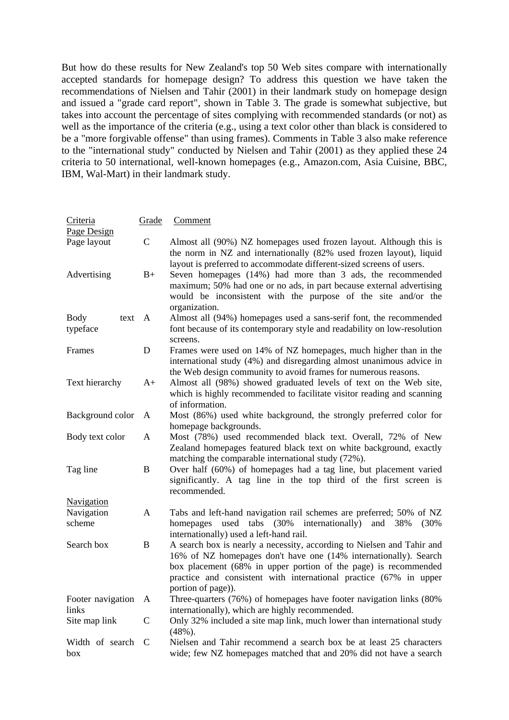But how do these results for New Zealand's top 50 Web sites compare with internationally accepted standards for homepage design? To address this question we have taken the recommendations of Nielsen and Tahir (2001) in their landmark study on homepage design and issued a "grade card report", shown in Table 3. The grade is somewhat subjective, but takes into account the percentage of sites complying with recommended standards (or not) as well as the importance of the criteria (e.g., using a text color other than black is considered to be a "more forgivable offense" than using frames). Comments in Table 3 also make reference to the "international study" conducted by Nielsen and Tahir (2001) as they applied these 24 criteria to 50 international, well-known homepages (e.g., Amazon.com, Asia Cuisine, BBC, IBM, Wal-Mart) in their landmark study.

| Criteria<br>Page Design         | Grade         | Comment                                                                                                                                                                                                                                                                                                  |
|---------------------------------|---------------|----------------------------------------------------------------------------------------------------------------------------------------------------------------------------------------------------------------------------------------------------------------------------------------------------------|
| Page layout                     | $\mathbf C$   | Almost all (90%) NZ homepages used frozen layout. Although this is<br>the norm in NZ and internationally (82% used frozen layout), liquid<br>layout is preferred to accommodate different-sized screens of users.                                                                                        |
| Advertising                     | $B+$          | Seven homepages (14%) had more than 3 ads, the recommended<br>maximum; 50% had one or no ads, in part because external advertising<br>would be inconsistent with the purpose of the site and/or the<br>organization.                                                                                     |
| <b>Body</b><br>text<br>typeface | A             | Almost all (94%) homepages used a sans-serif font, the recommended<br>font because of its contemporary style and readability on low-resolution<br>screens.                                                                                                                                               |
| Frames                          | D             | Frames were used on 14% of NZ homepages, much higher than in the<br>international study (4%) and disregarding almost unanimous advice in<br>the Web design community to avoid frames for numerous reasons.                                                                                               |
| Text hierarchy                  | $A+$          | Almost all (98%) showed graduated levels of text on the Web site,<br>which is highly recommended to facilitate visitor reading and scanning<br>of information.                                                                                                                                           |
| Background color                | A             | Most (86%) used white background, the strongly preferred color for<br>homepage backgrounds.                                                                                                                                                                                                              |
| Body text color                 | A             | Most (78%) used recommended black text. Overall, 72% of New<br>Zealand homepages featured black text on white background, exactly<br>matching the comparable international study (72%).                                                                                                                  |
| Tag line                        | B             | Over half (60%) of homepages had a tag line, but placement varied<br>significantly. A tag line in the top third of the first screen is<br>recommended.                                                                                                                                                   |
| <b>Navigation</b>               |               |                                                                                                                                                                                                                                                                                                          |
| Navigation<br>scheme            | $\mathbf{A}$  | Tabs and left-hand navigation rail schemes are preferred; 50% of NZ<br>used tabs (30%<br>internationally)<br>38%<br>(30%<br>homepages<br>and<br>internationally) used a left-hand rail.                                                                                                                  |
| Search box                      | $\, {\bf B}$  | A search box is nearly a necessity, according to Nielsen and Tahir and<br>16% of NZ homepages don't have one (14% internationally). Search<br>box placement (68% in upper portion of the page) is recommended<br>practice and consistent with international practice (67% in upper<br>portion of page)). |
| Footer navigation               | A             | Three-quarters (76%) of homepages have footer navigation links (80%)                                                                                                                                                                                                                                     |
| links                           |               | internationally), which are highly recommended.                                                                                                                                                                                                                                                          |
| Site map link                   | $\mathbf C$   | Only 32% included a site map link, much lower than international study<br>$(48\%)$ .                                                                                                                                                                                                                     |
| Width of search<br>box          | $\mathcal{C}$ | Nielsen and Tahir recommend a search box be at least 25 characters<br>wide; few NZ homepages matched that and 20% did not have a search                                                                                                                                                                  |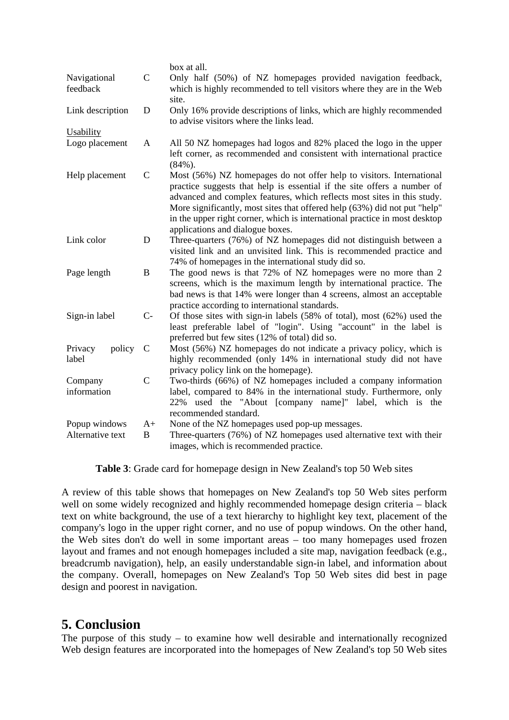|                            |               | box at all.                                                                                                                                                                                                                                                                                                                                                                                                               |
|----------------------------|---------------|---------------------------------------------------------------------------------------------------------------------------------------------------------------------------------------------------------------------------------------------------------------------------------------------------------------------------------------------------------------------------------------------------------------------------|
| Navigational<br>feedback   | $\mathsf{C}$  | Only half (50%) of NZ homepages provided navigation feedback,<br>which is highly recommended to tell visitors where they are in the Web<br>site.                                                                                                                                                                                                                                                                          |
| Link description           | $\mathbf D$   | Only 16% provide descriptions of links, which are highly recommended<br>to advise visitors where the links lead.                                                                                                                                                                                                                                                                                                          |
| <b>Usability</b>           |               |                                                                                                                                                                                                                                                                                                                                                                                                                           |
| Logo placement             | A             | All 50 NZ homepages had logos and 82% placed the logo in the upper<br>left corner, as recommended and consistent with international practice<br>$(84\%)$ .                                                                                                                                                                                                                                                                |
| Help placement             | $\mathcal{C}$ | Most (56%) NZ homepages do not offer help to visitors. International<br>practice suggests that help is essential if the site offers a number of<br>advanced and complex features, which reflects most sites in this study.<br>More significantly, most sites that offered help (63%) did not put "help"<br>in the upper right corner, which is international practice in most desktop<br>applications and dialogue boxes. |
| Link color                 | D             | Three-quarters (76%) of NZ homepages did not distinguish between a<br>visited link and an unvisited link. This is recommended practice and<br>74% of homepages in the international study did so.                                                                                                                                                                                                                         |
| Page length                | $\, {\bf B}$  | The good news is that 72% of NZ homepages were no more than 2<br>screens, which is the maximum length by international practice. The<br>bad news is that 14% were longer than 4 screens, almost an acceptable<br>practice according to international standards.                                                                                                                                                           |
| Sign-in label              | $C-$          | Of those sites with sign-in labels (58% of total), most (62%) used the<br>least preferable label of "login". Using "account" in the label is<br>preferred but few sites (12% of total) did so.                                                                                                                                                                                                                            |
| policy<br>Privacy<br>label | $\mathsf{C}$  | Most (56%) NZ homepages do not indicate a privacy policy, which is<br>highly recommended (only 14% in international study did not have<br>privacy policy link on the homepage).                                                                                                                                                                                                                                           |
| Company<br>information     | $\mathsf{C}$  | Two-thirds (66%) of NZ homepages included a company information<br>label, compared to 84% in the international study. Furthermore, only<br>22% used the "About [company name]" label, which is the<br>recommended standard.                                                                                                                                                                                               |
| Popup windows              | $A+$          | None of the NZ homepages used pop-up messages.                                                                                                                                                                                                                                                                                                                                                                            |
| Alternative text           | B             | Three-quarters (76%) of NZ homepages used alternative text with their<br>images, which is recommended practice.                                                                                                                                                                                                                                                                                                           |

**Table 3**: Grade card for homepage design in New Zealand's top 50 Web sites

A review of this table shows that homepages on New Zealand's top 50 Web sites perform well on some widely recognized and highly recommended homepage design criteria – black text on white background, the use of a text hierarchy to highlight key text, placement of the company's logo in the upper right corner, and no use of popup windows. On the other hand, the Web sites don't do well in some important areas – too many homepages used frozen layout and frames and not enough homepages included a site map, navigation feedback (e.g., breadcrumb navigation), help, an easily understandable sign-in label, and information about the company. Overall, homepages on New Zealand's Top 50 Web sites did best in page design and poorest in navigation.

## **5. Conclusion**

The purpose of this study – to examine how well desirable and internationally recognized Web design features are incorporated into the homepages of New Zealand's top 50 Web sites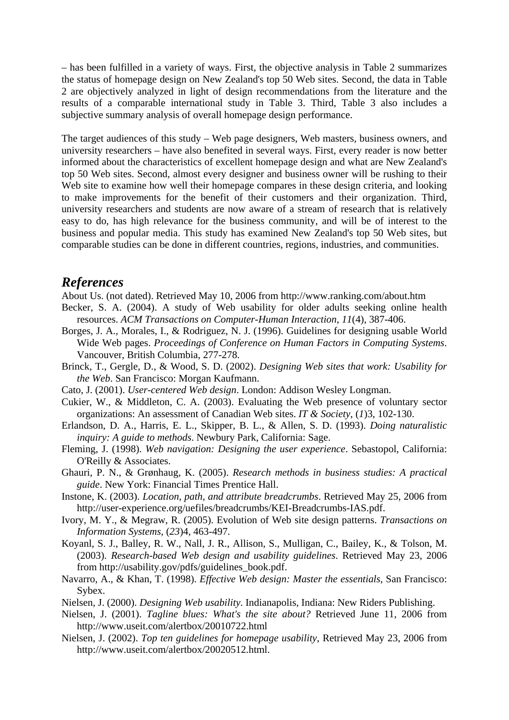– has been fulfilled in a variety of ways. First, the objective analysis in Table 2 summarizes the status of homepage design on New Zealand's top 50 Web sites. Second, the data in Table 2 are objectively analyzed in light of design recommendations from the literature and the results of a comparable international study in Table 3. Third, Table 3 also includes a subjective summary analysis of overall homepage design performance.

The target audiences of this study – Web page designers, Web masters, business owners, and university researchers – have also benefited in several ways. First, every reader is now better informed about the characteristics of excellent homepage design and what are New Zealand's top 50 Web sites. Second, almost every designer and business owner will be rushing to their Web site to examine how well their homepage compares in these design criteria, and looking to make improvements for the benefit of their customers and their organization. Third, university researchers and students are now aware of a stream of research that is relatively easy to do, has high relevance for the business community, and will be of interest to the business and popular media. This study has examined New Zealand's top 50 Web sites, but comparable studies can be done in different countries, regions, industries, and communities.

#### *References*

About Us. (not dated). Retrieved May 10, 2006 from http://www.ranking.com/about.htm

- Becker, S. A. (2004). A study of Web usability for older adults seeking online health resources. *ACM Transactions on Computer-Human Interaction*, *11*(4), 387-406.
- Borges, J. A., Morales, I., & Rodriguez, N. J. (1996). Guidelines for designing usable World Wide Web pages. *Proceedings of Conference on Human Factors in Computing Systems*. Vancouver, British Columbia, 277-278.
- Brinck, T., Gergle, D., & Wood, S. D. (2002). *Designing Web sites that work: Usability for the Web*. San Francisco: Morgan Kaufmann.
- Cato, J. (2001). *User-centered Web design*. London: Addison Wesley Longman.
- Cukier, W., & Middleton, C. A. (2003). Evaluating the Web presence of voluntary sector organizations: An assessment of Canadian Web sites. *IT & Society*, (*1*)3, 102-130.
- Erlandson, D. A., Harris, E. L., Skipper, B. L., & Allen, S. D. (1993). *Doing naturalistic inquiry: A guide to methods*. Newbury Park, California: Sage.
- Fleming, J. (1998). *Web navigation: Designing the user experience*. Sebastopol, California: O'Reilly & Associates.
- Ghauri, P. N., & Grønhaug, K. (2005). *Research methods in business studies: A practical guide*. New York: Financial Times Prentice Hall.
- Instone, K. (2003). *Location, path, and attribute breadcrumbs*. Retrieved May 25, 2006 from http://user-experience.org/uefiles/breadcrumbs/KEI-Breadcrumbs-IAS.pdf.
- Ivory, M. Y., & Megraw, R. (2005). Evolution of Web site design patterns. *Transactions on Information Systems*, (*23*)4, 463-497.
- Koyanl, S. J., Balley, R. W., Nall, J. R., Allison, S., Mulligan, C., Bailey, K., & Tolson, M. (2003). *Research-based Web design and usability guidelines*. Retrieved May 23, 2006 from http://usability.gov/pdfs/guidelines\_book.pdf.
- Navarro, A., & Khan, T. (1998). *Effective Web design: Master the essentials*, San Francisco: Sybex.
- Nielsen, J. (2000). *Designing Web usability*. Indianapolis, Indiana: New Riders Publishing.
- Nielsen, J. (2001). *Tagline blues: What's the site about?* Retrieved June 11, 2006 from http://www.useit.com/alertbox/20010722.html
- Nielsen, J. (2002). *Top ten guidelines for homepage usability*, Retrieved May 23, 2006 from http://www.useit.com/alertbox/20020512.html.